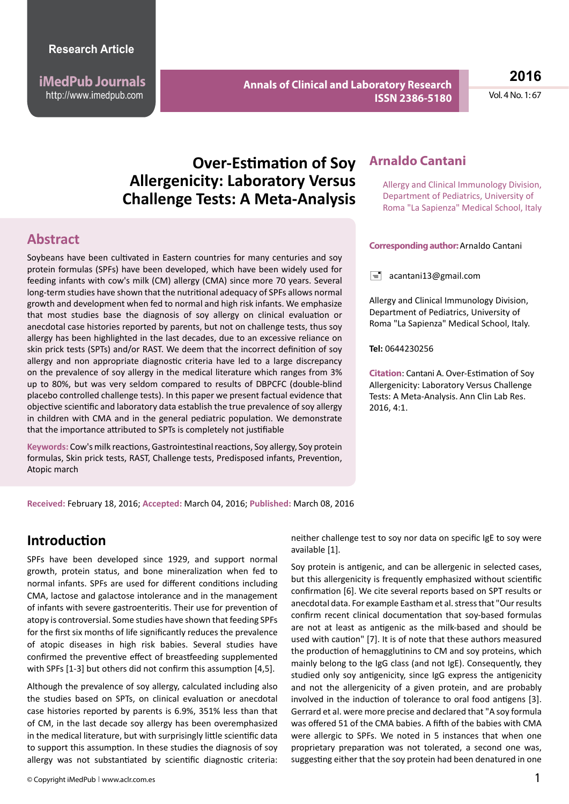**iMedPub Journals** http://www.imedpub.com

**Annals of Clinical and Laboratory Research ISSN 2386-5180** **2016**

Vol. 4 No. 1: 67

# **Over-Estimation of Soy Allergenicity: Laboratory Versus Challenge Tests: A Meta-Analysis**

#### **Abstract**

Soybeans have been cultivated in Eastern countries for many centuries and soy protein formulas (SPFs) have been developed, which have been widely used for feeding infants with cow's milk (CM) allergy (CMA) since more 70 years. Several long-term studies have shown that the nutritional adequacy of SPFs allows normal growth and development when fed to normal and high risk infants. We emphasize that most studies base the diagnosis of soy allergy on clinical evaluation or anecdotal case histories reported by parents, but not on challenge tests, thus soy allergy has been highlighted in the last decades, due to an excessive reliance on skin prick tests (SPTs) and/or RAST. We deem that the incorrect definition of soy allergy and non appropriate diagnostic criteria have led to a large discrepancy on the prevalence of soy allergy in the medical literature which ranges from 3% up to 80%, but was very seldom compared to results of DBPCFC (double-blind placebo controlled challenge tests). In this paper we present factual evidence that objective scientific and laboratory data establish the true prevalence of soy allergy in children with CMA and in the general pediatric population. We demonstrate that the importance attributed to SPTs is completely not justifiable

**Keywords:** Cow's milk reactions, Gastrointestinal reactions, Soy allergy, Soy protein formulas, Skin prick tests, RAST, Challenge tests, Predisposed infants, Prevention, Atopic march

### **Arnaldo Cantani**

Allergy and Clinical Immunology Division, Department of Pediatrics, University of Roma "La Sapienza" Medical School, Italy

#### **Corresponding author:** Arnaldo Cantani

 $\equiv$  [acantani13@gmail.com](mailto:acantani13@gmail.com)

Allergy and Clinical Immunology Division, Department of Pediatrics, University of Roma "La Sapienza" Medical School, Italy.

**Tel:** 0644230256

**Citation**: Cantani A. Over-Estimation of Soy Allergenicity: Laboratory Versus Challenge Tests: A Meta-Analysis. Ann Clin Lab Res. 2016, 4:1.

**Received:** February 18, 2016; **Accepted:** March 04, 2016; **Published:** March 08, 2016

### **Introduction**

SPFs have been developed since 1929, and support normal growth, protein status, and bone mineralization when fed to normal infants. SPFs are used for different conditions including CMA, lactose and galactose intolerance and in the management of infants with severe gastroenteritis. Their use for prevention of atopy is controversial. Some studies have shown that feeding SPFs for the first six months of life significantly reduces the prevalence of atopic diseases in high risk babies. Several studies have confirmed the preventive effect of breastfeeding supplemented with SPFs [1-3] but others did not confirm this assumption [4,5].

Although the prevalence of soy allergy, calculated including also the studies based on SPTs, on clinical evaluation or anecdotal case histories reported by parents is 6.9%, 351% less than that of CM, in the last decade soy allergy has been overemphasized in the medical literature, but with surprisingly little scientific data to support this assumption. In these studies the diagnosis of soy allergy was not substantiated by scientific diagnostic criteria:

neither challenge test to soy nor data on specific IgE to soy were available [1].

Soy protein is antigenic, and can be allergenic in selected cases, but this allergenicity is frequently emphasized without scientific confirmation [6]. We cite several reports based on SPT results or anecdotal data. For example Eastham et al. stress that "Our results confirm recent clinical documentation that soy-based formulas are not at least as antigenic as the milk-based and should be used with caution" [7]. It is of note that these authors measured the production of hemagglutinins to CM and soy proteins, which mainly belong to the IgG class (and not IgE). Consequently, they studied only soy antigenicity, since IgG express the antigenicity and not the allergenicity of a given protein, and are probably involved in the induction of tolerance to oral food antigens [3]. Gerrard et al. were more precise and declared that "A soy formula was offered 51 of the CMA babies. A fifth of the babies with CMA were allergic to SPFs. We noted in 5 instances that when one proprietary preparation was not tolerated, a second one was, suggesting either that the soy protein had been denatured in one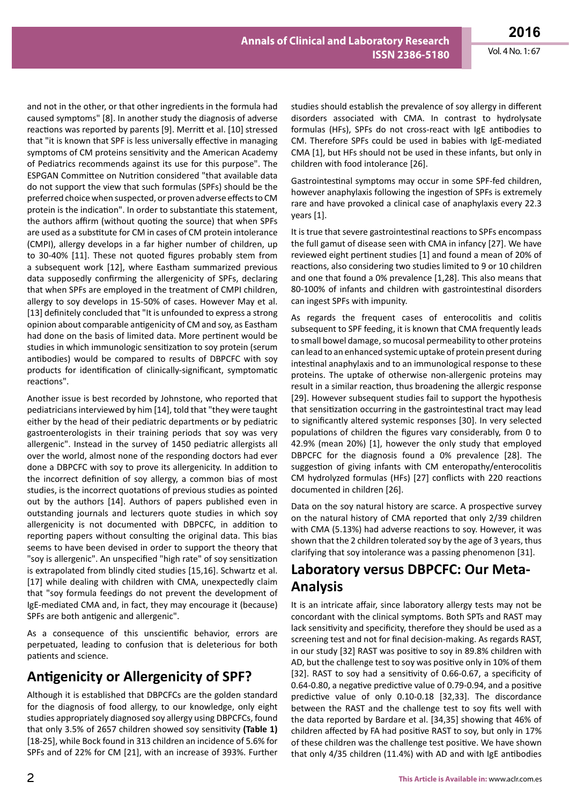and not in the other, or that other ingredients in the formula had caused symptoms" [8]. In another study the diagnosis of adverse reactions was reported by parents [9]. Merritt et al. [10] stressed that "it is known that SPF is less universally effective in managing symptoms of CM proteins sensitivity and the American Academy of Pediatrics recommends against its use for this purpose". The ESPGAN Committee on Nutrition considered "that available data do not support the view that such formulas (SPFs) should be the preferred choice when suspected, or proven adverse effects to CM protein is the indication". In order to substantiate this statement, the authors affirm (without quoting the source) that when SPFs are used as a substitute for CM in cases of CM protein intolerance (CMPI), allergy develops in a far higher number of children, up to 30-40% [11]. These not quoted figures probably stem from a subsequent work [12], where Eastham summarized previous data supposedly confirming the allergenicity of SPFs, declaring that when SPFs are employed in the treatment of CMPI children, allergy to soy develops in 15-50% of cases. However May et al. [13] definitely concluded that "It is unfounded to express a strong opinion about comparable antigenicity of CM and soy, as Eastham had done on the basis of limited data. More pertinent would be studies in which immunologic sensitization to soy protein (serum antibodies) would be compared to results of DBPCFC with soy products for identification of clinically-significant, symptomatic reactions".

Another issue is best recorded by Johnstone, who reported that pediatricians interviewed by him [14], told that "they were taught either by the head of their pediatric departments or by pediatric gastroenterologists in their training periods that soy was very allergenic". Instead in the survey of 1450 pediatric allergists all over the world, almost none of the responding doctors had ever done a DBPCFC with soy to prove its allergenicity. In addition to the incorrect definition of soy allergy, a common bias of most studies, is the incorrect quotations of previous studies as pointed out by the authors [14]. Authors of papers published even in outstanding journals and lecturers quote studies in which soy allergenicity is not documented with DBPCFC, in addition to reporting papers without consulting the original data. This bias seems to have been devised in order to support the theory that "soy is allergenic". An unspecified "high rate" of soy sensitization is extrapolated from blindly cited studies [15,16]. Schwartz et al. [17] while dealing with children with CMA, unexpectedly claim that "soy formula feedings do not prevent the development of IgE-mediated CMA and, in fact, they may encourage it (because) SPFs are both antigenic and allergenic".

As a consequence of this unscientific behavior, errors are perpetuated, leading to confusion that is deleterious for both patients and science.

## **Antigenicity or Allergenicity of SPF?**

Although it is established that DBPCFCs are the golden standard for the diagnosis of food allergy, to our knowledge, only eight studies appropriately diagnosed soy allergy using DBPCFCs, found that only 3.5% of 2657 children showed soy sensitivity **(Table 1)** [18-25], while Bock found in 313 children an incidence of 5.6% for SPFs and of 22% for CM [21], with an increase of 393%. Further studies should establish the prevalence of soy allergy in different disorders associated with CMA. In contrast to hydrolysate formulas (HFs), SPFs do not cross-react with IgE antibodies to CM. Therefore SPFs could be used in babies with IgE-mediated CMA [1], but HFs should not be used in these infants, but only in children with food intolerance [26].

Gastrointestinal symptoms may occur in some SPF-fed children, however anaphylaxis following the ingestion of SPFs is extremely rare and have provoked a clinical case of anaphylaxis every 22.3 years [1].

It is true that severe gastrointestinal reactions to SPFs encompass the full gamut of disease seen with CMA in infancy [27]. We have reviewed eight pertinent studies [1] and found a mean of 20% of reactions, also considering two studies limited to 9 or 10 children and one that found a 0% prevalence [1,28]. This also means that 80-100% of infants and children with gastrointestinal disorders can ingest SPFs with impunity.

As regards the frequent cases of enterocolitis and colitis subsequent to SPF feeding, it is known that CMA frequently leads to small bowel damage, so mucosal permeability to other proteins can lead to an enhanced systemic uptake of protein present during intestinal anaphylaxis and to an immunological response to these proteins. The uptake of otherwise non-allergenic proteins may result in a similar reaction, thus broadening the allergic response [29]. However subsequent studies fail to support the hypothesis that sensitization occurring in the gastrointestinal tract may lead to significantly altered systemic responses [30]. In very selected populations of children the figures vary considerably, from 0 to 42.9% (mean 20%) [1], however the only study that employed DBPCFC for the diagnosis found a 0% prevalence [28]. The suggestion of giving infants with CM enteropathy/enterocolitis CM hydrolyzed formulas (HFs) [27] conflicts with 220 reactions documented in children [26].

Data on the soy natural history are scarce. A prospective survey on the natural history of CMA reported that only 2/39 children with CMA (5.13%) had adverse reactions to soy. However, it was shown that the 2 children tolerated soy by the age of 3 years, thus clarifying that soy intolerance was a passing phenomenon [31].

## **Laboratory versus DBPCFC: Our Meta-Analysis**

It is an intricate affair, since laboratory allergy tests may not be concordant with the clinical symptoms. Both SPTs and RAST may lack sensitivity and specificity, therefore they should be used as a screening test and not for final decision-making. As regards RAST, in our study [32] RAST was positive to soy in 89.8% children with AD, but the challenge test to soy was positive only in 10% of them [32]. RAST to soy had a sensitivity of 0.66-0.67, a specificity of 0.64-0.80, a negative predictive value of 0.79-0.94, and a positive predictive value of only 0.10-0.18 [32,33]. The discordance between the RAST and the challenge test to soy fits well with the data reported by Bardare et al. [34,35] showing that 46% of children affected by FA had positive RAST to soy, but only in 17% of these children was the challenge test positive. We have shown that only 4/35 children (11.4%) with AD and with IgE antibodies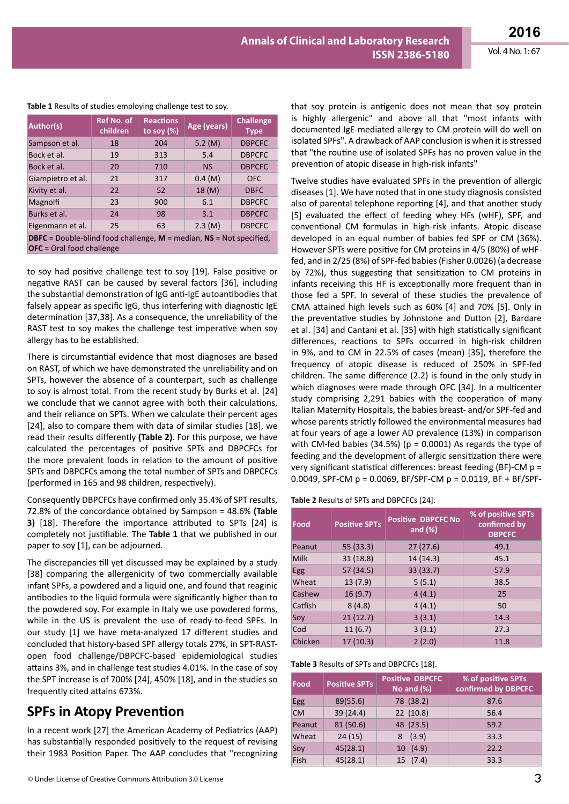| Author(s)                                                                                                    | <b>Ref No. of</b><br>children | <b>Reactions</b><br>to soy $(\%)$ | Age (years) | <b>Challenge</b><br><b>Type</b> |  |  |
|--------------------------------------------------------------------------------------------------------------|-------------------------------|-----------------------------------|-------------|---------------------------------|--|--|
| Sampson et al.                                                                                               | 18                            | 204                               | 5.2 (M)     | <b>DBPCFC</b>                   |  |  |
| Bock et al.                                                                                                  | 19                            | 313                               | 5.4         | <b>DBPCFC</b>                   |  |  |
| Bock et al.                                                                                                  | 20                            | 710                               | <b>NS</b>   | <b>DBPCFC</b>                   |  |  |
| Giampietro et al.                                                                                            | 21                            | 317                               | 0.4(M)      | <b>OFC</b>                      |  |  |
| Kivity et al.                                                                                                | 22                            | 52                                | 18 (M)      | <b>DBFC</b>                     |  |  |
| Magnolfi                                                                                                     | 23                            | 900                               | 6.1         | <b>DBPCFC</b>                   |  |  |
| Burks et al.                                                                                                 | 24                            | 98                                | 3.1         | <b>DBPCFC</b>                   |  |  |
| Eigenmann et al.                                                                                             | 25                            | 63                                | 2.3 (M)     | <b>DBPCFC</b>                   |  |  |
| <b>DBFC</b> = Double-blind food challenge, $M$ = median, $NS$ = Not specified,<br>$OFC = Ord$ food challenge |                               |                                   |             |                                 |  |  |

#### **Table 1** Results of studies employing challenge test to soy.

to soy had positive challenge test to soy [19]. False positive or negative RAST can be caused by several factors [36], including the substantial demonstration of IgG anti-IgE autoantibodies that falsely appear as specific IgG, thus interfering with diagnostic IgE determination [37,38]. As a consequence, the unreliability of the RAST test to soy makes the challenge test imperative when soy allergy has to be established.

There is circumstantial evidence that most diagnoses are based on RAST, of which we have demonstrated the unreliability and on SPTs, however the absence of a counterpart, such as challenge to soy is almost total. From the recent study by Burks et al. [24] we conclude that we cannot agree with both their calculations, and their reliance on SPTs. When we calculate their percent ages [24], also to compare them with data of similar studies [18], we read their results differently **(Table 2)**. For this purpose, we have calculated the percentages of positive SPTs and DBPCFCs for the more prevalent foods in relation to the amount of positive SPTs and DBPCFCs among the total number of SPTs and DBPCFCs (performed in 165 and 98 children, respectively).

Consequently DBPCFCs have confirmed only 35.4% of SPT results, 72.8% of the concordance obtained by Sampson = 48.6% **(Table 3)** [18]. Therefore the importance attributed to SPTs [24] is completely not justifiable. The **Table 1** that we published in our paper to soy [1], can be adjourned.

The discrepancies till yet discussed may be explained by a study [38] comparing the allergenicity of two commercially available infant SPFs, a powdered and a liquid one, and found that reaginic antibodies to the liquid formula were significantly higher than to the powdered soy. For example in Italy we use powdered forms, while in the US is prevalent the use of ready-to-feed SPFs. In our study [1] we have meta-analyzed 17 different studies and concluded that history-based SPF allergy totals 27%, in SPT-RASTopen food challenge/DBPCFC-based epidemiological studies attains 3%, and in challenge test studies 4.01%. In the case of soy the SPT increase is of 700% [24], 450% [18], and in the studies so frequently cited attains 673%.

## **SPFs in Atopy Prevention**

In a recent work [27] the American Academy of Pediatrics (AAP) has substantially responded positively to the request of revising their 1983 Position Paper. The AAP concludes that "recognizing that soy protein is antigenic does not mean that soy protein is highly allergenic" and above all that "most infants with documented IgE-mediated allergy to CM protein will do well on isolated SPFs". A drawback of AAP conclusion is when it is stressed that "the routine use of isolated SPFs has no proven value in the prevention of atopic disease in high-risk infants"

Twelve studies have evaluated SPFs in the prevention of allergic diseases [1]. We have noted that in one study diagnosis consisted also of parental telephone reporting [4], and that another study [5] evaluated the effect of feeding whey HFs (wHF), SPF, and conventional CM formulas in high-risk infants. Atopic disease developed in an equal number of babies fed SPF or CM (36%). However SPTs were positive for CM proteins in 4/5 (80%) of wHFfed, and in 2/25 (8%) of SPF-fed babies (Fisher 0.0026) (a decrease by 72%), thus suggesting that sensitization to CM proteins in infants receiving this HF is exceptionally more frequent than in those fed a SPF. In several of these studies the prevalence of CMA attained high levels such as 60% [4] and 70% [5]. Only in the preventative studies by Johnstone and Dutton [2], Bardare et al. [34] and Cantani et al. [35] with high statistically significant differences, reactions to SPFs occurred in high-risk children in 9%, and to CM in 22.5% of cases (mean) [35], therefore the frequency of atopic disease is reduced of 250% in SPF-fed children. The same difference (2.2) is found in the only study in which diagnoses were made through OFC [34]. In a multicenter study comprising 2,291 babies with the cooperation of many Italian Maternity Hospitals, the babies breast- and/or SPF-fed and whose parents strictly followed the environmental measures had at four years of age a lower AD prevalence (13%) in comparison with CM-fed babies (34.5%) ( $p = 0.0001$ ) As regards the type of feeding and the development of allergic sensitization there were very significant statistical differences: breast feeding (BF)-CM p = 0.0049, SPF-CM p = 0.0069, BF/SPF-CM p = 0.0119, BF + BF/SPF-

**Table 2** Results of SPTs and DBPCFCs [24].

| Food       | <b>Positive SPTs</b> | <b>Positive DBPCFC No</b><br>and $(\%)$ | % of positive SPTs<br>confirmed by<br><b>DBPCFC</b> |
|------------|----------------------|-----------------------------------------|-----------------------------------------------------|
| Peanut     | 55 (33.3)            | 27(27.6)                                | 49.1                                                |
| Milk       | 31(18.8)             | 14(14.3)                                | 45.1                                                |
| <b>Egg</b> | 57 (34.5)            | 33 (33.7)                               | 57.9                                                |
| Wheat      | 13(7.9)              | 5(5.1)                                  | 38.5                                                |
| Cashew     | 16(9.7)              | 4(4.1)                                  | 25                                                  |
| Catfish    | 8(4.8)               | 4(4.1)                                  | 50                                                  |
| Soy        | 21(12.7)             | 3(3.1)                                  | 14.3                                                |
| Cod        | 11(6.7)              | 3(3.1)                                  | 27.3                                                |
| Chicken    | 17(10.3)             | 2(2.0)                                  | 11.8                                                |

**Table 3** Results of SPTs and DBPCFCs [18].

| Food      | <b>Positive SPTs</b> | <b>Positive DBPCFC</b><br>No and $(\%)$ | % of positive SPTs<br>confirmed by DBPCFC |
|-----------|----------------------|-----------------------------------------|-------------------------------------------|
| Egg       | 89(55.6)             | 78 (38.2)                               | 87.6                                      |
| <b>CM</b> | 39 (24.4)            | 22 (10.8)                               | 56.4                                      |
| Peanut    | 81 (50.6)            | 48 (23.5)                               | 59.2                                      |
| Wheat     | 24(15)               | 8(3.9)                                  | 33.3                                      |
| Soy       | 45(28.1)             | 10(4.9)                                 | 22.2                                      |
| Fish      | 45(28.1)             | 15(7.4)                                 | 33.3                                      |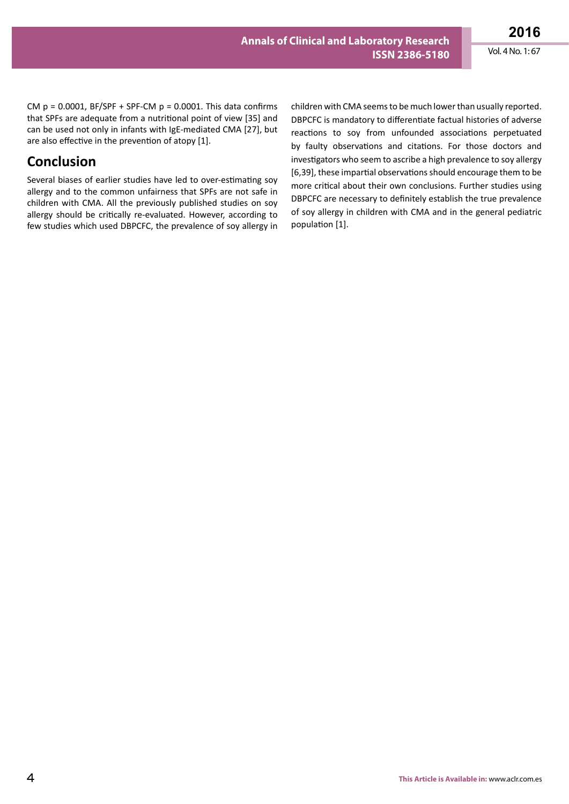CM  $p = 0.0001$ , BF/SPF + SPF-CM  $p = 0.0001$ . This data confirms that SPFs are adequate from a nutritional point of view [35] and can be used not only in infants with IgE-mediated CMA [27], but are also effective in the prevention of atopy [1].

## **Conclusion**

Several biases of earlier studies have led to over-estimating soy allergy and to the common unfairness that SPFs are not safe in children with CMA. All the previously published studies on soy allergy should be critically re-evaluated. However, according to few studies which used DBPCFC, the prevalence of soy allergy in

children with CMA seems to be much lower than usually reported. DBPCFC is mandatory to differentiate factual histories of adverse reactions to soy from unfounded associations perpetuated by faulty observations and citations. For those doctors and investigators who seem to ascribe a high prevalence to soy allergy [6,39], these impartial observations should encourage them to be more critical about their own conclusions. Further studies using DBPCFC are necessary to definitely establish the true prevalence of soy allergy in children with CMA and in the general pediatric population [1].